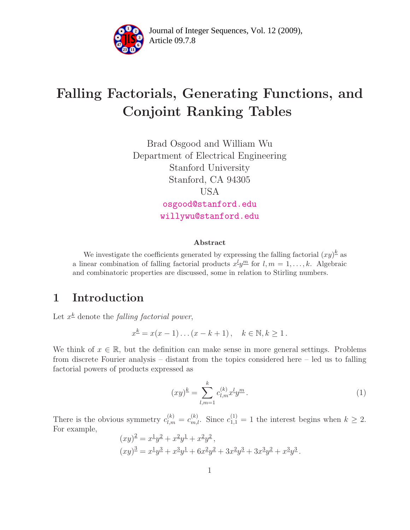

Article 09.7.8 **<sup>2</sup>** Journal of Integer Sequences, Vol. 12 (2009),

# Falling Factorials, Generating Functions, and Conjoint Ranking Tables

Brad Osgood and William Wu Department of Electrical Engineering Stanford University Stanford, CA 94305 USA [osgood@stanford.edu](mailto:osgood@stanford.edu)

[willywu@stanford.edu](mailto:willywu@stanford.edu)

#### Abstract

We investigate the coefficients generated by expressing the falling factorial  $(xy)^{\underline{k}}$  as a linear combination of falling factorial products  $x^l y^m$  for  $l, m = 1, \ldots, k$ . Algebraic and combinatoric properties are discussed, some in relation to Stirling numbers.

### 1 Introduction

Let  $x^{\underline{k}}$  denote the *falling factorial power*,

<span id="page-0-0"></span>
$$
x^{\underline{k}} = x(x-1)...(x-k+1), \quad k \in \mathbb{N}, k \ge 1.
$$

We think of  $x \in \mathbb{R}$ , but the definition can make sense in more general settings. Problems from discrete Fourier analysis – distant from the topics considered here – led us to falling factorial powers of products expressed as

$$
(xy)^{\underline{k}} = \sum_{l,m=1}^{k} c_{l,m}^{(k)} x^{l} y^{m}.
$$
 (1)

There is the obvious symmetry  $c_{l,m}^{(k)} = c_{m,l}^{(k)}$ . Since  $c_{1,1}^{(1)} = 1$  the interest begins when  $k \geq 2$ . For example,

$$
(xy)^2 = x^2y^2 + x^2y^2 + x^2y^2,
$$
  
\n
$$
(xy)^3 = x^2y^3 + x^3y^2 + 6x^2y^2 + 3x^2y^3 + 3x^3y^2 + x^3y^3.
$$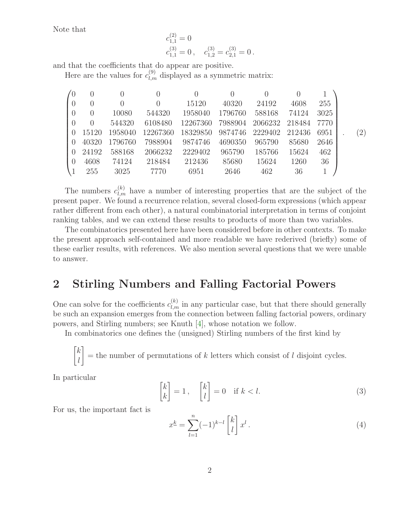Note that

<span id="page-1-2"></span>
$$
c_{1,1}^{(2)} = 0
$$
  
\n
$$
c_{1,1}^{(3)} = 0, \quad c_{1,2}^{(3)} = c_{2,1}^{(3)} = 0.
$$

and that the coefficients that do appear are positive.

Here are the values for  $c_{l,m}^{(9)}$  displayed as a symmetric matrix:

|                  |                  |                  |          | 0        |         |         |        |      |     |
|------------------|------------------|------------------|----------|----------|---------|---------|--------|------|-----|
| $\left( \right)$ | $\left( \right)$ | $\left( \right)$ |          | 15120    | 40320   | 24192   | 4608   | 255  |     |
| $\overline{0}$   | $\theta$         | 10080            | 544320   | 1958040  | 1796760 | 588168  | 74124  | 3025 |     |
| $\overline{0}$   | $\left( \right)$ | 544320           | 6108480  | 12267360 | 7988904 | 2066232 | 218484 | 7770 |     |
| $\left( \right)$ | 15120            | 1958040          | 12267360 | 18329850 | 9874746 | 2229402 | 212436 | 6951 | (2) |
| $\left( \right)$ | 40320            | 1796760          | 7988904  | 9874746  | 4690350 | 965790  | 85680  | 2646 |     |
| $\left( \right)$ | 24192            | 588168           | 2066232  | 2229402  | 965790  | 185766  | 15624  | 462  |     |
| $\theta$         | 4608             | 74124            | 218484   | 212436   | 85680   | 15624   | 1260   | 36   |     |
|                  | 255              | 3025             | 7770     | 6951     | 2646    | 462     | 36     |      |     |

The numbers  $c_{l,m}^{(k)}$  have a number of interesting properties that are the subject of the present paper. We found a recurrence relation, several closed-form expressions (which appear rather different from each other), a natural combinatorial interpretation in terms of conjoint ranking tables, and we can extend these results to products of more than two variables.

The combinatorics presented here have been considered before in other contexts. To make the present approach self-contained and more readable we have rederived (briefly) some of these earlier results, with references. We also mention several questions that we were unable to answer.

# 2 Stirling Numbers and Falling Factorial Powers

One can solve for the coefficients  $c_{l,m}^{(k)}$  in any particular case, but that there should generally be such an expansion emerges from the connection between falling factorial powers, ordinary powers, and Stirling numbers; see Knuth [\[4\]](#page-12-0), whose notation we follow.

In combinatorics one defines the (unsigned) Stirling numbers of the first kind by

$$
\begin{bmatrix} k \\ l \end{bmatrix} = \text{the number of permutations of } k \text{ letters which consist of } l \text{ disjoint cycles.}
$$

<span id="page-1-0"></span>In particular

$$
\begin{bmatrix} k \\ k \end{bmatrix} = 1, \quad \begin{bmatrix} k \\ l \end{bmatrix} = 0 \quad \text{if } k < l. \tag{3}
$$

<span id="page-1-1"></span>For us, the important fact is

$$
x^{\underline{k}} = \sum_{l=1}^{n} (-1)^{k-l} \begin{bmatrix} k \\ l \end{bmatrix} x^l.
$$
 (4)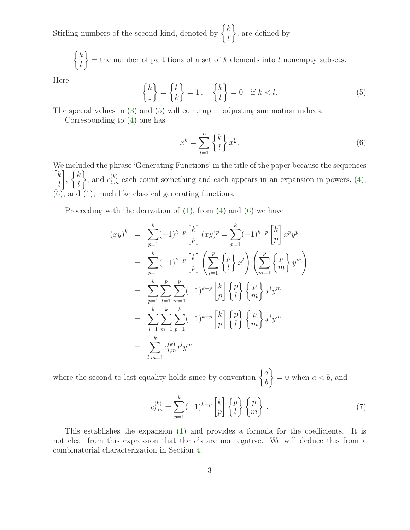Stirling numbers of the second kind, denoted by  $\begin{cases} k \\ l \end{cases}$ l  $\mathcal{L}$ , are defined by

 $\int k$ l  $\mathcal{L}$  $=$  the number of partitions of a set of k elements into l nonempty subsets.

<span id="page-2-0"></span>Here

<span id="page-2-1"></span>
$$
\begin{Bmatrix} k \\ 1 \end{Bmatrix} = \begin{Bmatrix} k \\ k \end{Bmatrix} = 1, \quad \begin{Bmatrix} k \\ l \end{Bmatrix} = 0 \quad \text{if } k < l. \tag{5}
$$

The special values in [\(3\)](#page-1-0) and [\(5\)](#page-2-0) will come up in adjusting summation indices.

Corresponding to [\(4\)](#page-1-1) one has

$$
x^k = \sum_{l=1}^n \begin{Bmatrix} k \\ l \end{Bmatrix} x^l.
$$
 (6)

We included the phrase 'Generating Functions' in the title of the paper because the sequences  $\lceil k \rceil$ l 1 ,  $\int k$ l  $\mathcal{L}$ , and  $c_{l,m}^{(k)}$  each count something and each appears in an expansion in powers, [\(4\)](#page-1-1), [\(6\)](#page-2-1), and [\(1\)](#page-0-0), much like classical generating functions.

Proceeding with the derivation of  $(1)$ , from  $(4)$  and  $(6)$  we have

$$
(xy)^{\underline{k}} = \sum_{p=1}^{k} (-1)^{k-p} {k \choose p} (xy)^{p} = \sum_{p=1}^{k} (-1)^{k-p} {k \choose p} x^{p} y^{p}
$$
  
\n
$$
= \sum_{p=1}^{k} (-1)^{k-p} {k \choose p} \left( \sum_{l=1}^{p} {p \choose l} x^{l} \right) \left( \sum_{m=1}^{p} {p \choose m} y^{m} \right)
$$
  
\n
$$
= \sum_{p=1}^{k} \sum_{l=1}^{p} \sum_{m=1}^{p} (-1)^{k-p} {k \choose p} {p \choose l} {p \choose m} x^{l} y^{m}
$$
  
\n
$$
= \sum_{l=1}^{k} \sum_{m=1}^{k} \sum_{p=1}^{k} (-1)^{k-p} {k \choose p} {p \choose l} {p \choose m} x^{l} y^{m}
$$
  
\n
$$
= \sum_{l,m=1}^{k} c_{l,m}^{(k)} x^{l} y^{m},
$$

where the second-to-last equality holds since by convention  $\begin{cases} a \\ b \end{cases}$ b  $\mathcal{L}$  $= 0$  when  $a < b$ , and

<span id="page-2-2"></span>
$$
c_{l,m}^{(k)} = \sum_{p=1}^{k} (-1)^{k-p} \begin{bmatrix} k \\ p \end{bmatrix} \begin{Bmatrix} p \\ l \end{Bmatrix} \begin{Bmatrix} p \\ m \end{Bmatrix} . \tag{7}
$$

This establishes the expansion [\(1\)](#page-0-0) and provides a formula for the coefficients. It is not clear from this expression that the  $c$ 's are nonnegative. We will deduce this from a combinatorial characterization in Section [4.](#page-5-0)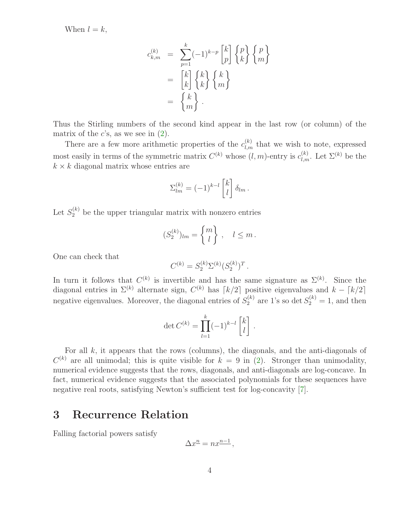When  $l = k$ ,

$$
c_{k,m}^{(k)} = \sum_{p=1}^{k} (-1)^{k-p} {k \choose p} {p \choose k} {p \choose m}
$$

$$
= {k \choose k} {k \choose k} {k \choose m}
$$

$$
= {k \choose m}.
$$

Thus the Stirling numbers of the second kind appear in the last row (or column) of the matrix of the c's, as we see in  $(2)$ .

There are a few more arithmetic properties of the  $c_{l,m}^{(k)}$  that we wish to note, expressed most easily in terms of the symmetric matrix  $C^{(k)}$  whose  $(l,m)$ -entry is  $c_{l,m}^{(k)}$ . Let  $\Sigma^{(k)}$  be the  $k \times k$  diagonal matrix whose entries are

$$
\Sigma_{lm}^{(k)} = (-1)^{k-l} \begin{bmatrix} k \\ l \end{bmatrix} \delta_{lm} .
$$

Let  $S_2^{(k)}$  be the upper triangular matrix with nonzero entries

$$
(S_2^{(k)})_{lm} = \begin{Bmatrix} m \\ l \end{Bmatrix}, \quad l \leq m.
$$

One can check that

$$
C^{(k)} = S_2^{(k)} \Sigma^{(k)} (S_2^{(k)})^T.
$$

In turn it follows that  $C^{(k)}$  is invertible and has the same signature as  $\Sigma^{(k)}$ . Since the diagonal entries in  $\Sigma^{(k)}$  alternate sign,  $C^{(k)}$  has  $\lceil k/2 \rceil$  positive eigenvalues and  $k - \lceil k/2 \rceil$ negative eigenvalues. Moreover, the diagonal entries of  $S_2^{(k)}$  are 1's so det  $S_2^{(k)} = 1$ , and then

$$
\det C^{(k)} = \prod_{l=1}^{k} (-1)^{k-l} \begin{bmatrix} k \\ l \end{bmatrix}.
$$

For all  $k$ , it appears that the rows (columns), the diagonals, and the anti-diagonals of  $C^{(k)}$  are all unimodal; this is quite visible for  $k = 9$  in [\(2\)](#page-1-2). Stronger than unimodality, numerical evidence suggests that the rows, diagonals, and anti-diagonals are log-concave. In fact, numerical evidence suggests that the associated polynomials for these sequences have negative real roots, satisfying Newton's sufficient test for log-concavity [\[7\]](#page-12-1).

#### 3 Recurrence Relation

Falling factorial powers satisfy

$$
\Delta x^{n} = n x^{n-1},
$$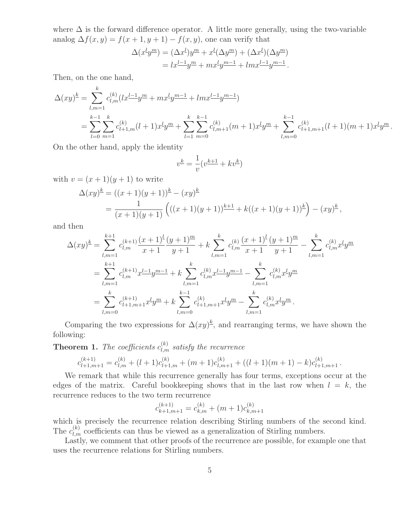where  $\Delta$  is the forward difference operator. A little more generally, using the two-variable analog  $\Delta f(x, y) = f(x + 1, y + 1) - f(x, y)$ , one can verify that

$$
\Delta(x^{\underline{l}}y^{\underline{m}}) = (\Delta x^{\underline{l}})y^{\underline{m}} + x^{\underline{l}}(\Delta y^{\underline{m}}) + (\Delta x^{\underline{l}})(\Delta y^{\underline{m}})
$$
  
=  $lx^{\underline{l-1}}y^{\underline{m}} + mx^{\underline{l}}y^{\underline{m-1}} + lmx^{\underline{l-1}}y^{\underline{m-1}}.$ 

Then, on the one hand,  $\mathbf{L}$ 

$$
\Delta(xy)^k = \sum_{l,m=1}^{\infty} c_{l,m}^{(k)} (lx^{\underline{l-1}}y^{\underline{m}} + mx^{\underline{l}}y^{\underline{m-1}} + lmx^{\underline{l-1}}y^{\underline{m-1}}) \n= \sum_{l=0}^{k-1} \sum_{m=1}^k c_{l+1,m}^{(k)} (l+1)x^{\underline{l}}y^{\underline{m}} + \sum_{l=1}^k \sum_{m=0}^{k-1} c_{l,m+1}^{(k)} (m+1)x^{\underline{l}}y^{\underline{m}} + \sum_{l,m=0}^{k-1} c_{l+1,m+1}^{(k)} (l+1)(m+1)x^{\underline{l}}y^{\underline{m}}.
$$

On the other hand, apply the identity

$$
v^{\underline{k}} = \frac{1}{v}(v^{\underline{k+1}} + kv^{\underline{k}})
$$

with  $v = (x + 1)(y + 1)$  to write

$$
\Delta(xy)^{\underline{k}} = ((x+1)(y+1))^{\underline{k}} - (xy)^{\underline{k}}
$$
  
= 
$$
\frac{1}{(x+1)(y+1)} \left( ((x+1)(y+1))^{\underline{k+1}} + k((x+1)(y+1))^{\underline{k}} \right) - (xy)^{\underline{k}},
$$

and then

$$
\Delta(xy)^{\underline{k}} = \sum_{l,m=1}^{k+1} c_{l,m}^{(k+1)} \frac{(x+1)^{\underline{l}}}{x+1} \frac{(y+1)^{\underline{m}}}{y+1} + k \sum_{l,m=1}^{k} c_{l,m}^{(k)} \frac{(x+1)^{\underline{l}}}{x+1} \frac{(y+1)^{\underline{m}}}{y+1} - \sum_{l,m=1}^{k} c_{l,m}^{(k)} x^l y^{\underline{m}}
$$
  

$$
= \sum_{l,m=1}^{k+1} c_{l,m}^{(k+1)} x^{\underline{l-1}} y^{\underline{m-1}} + k \sum_{l,m=1}^{k} c_{l,m}^{(k)} x^{\underline{l-1}} y^{\underline{m-1}} - \sum_{l,m=1}^{k} c_{l,m}^{(k)} x^{\underline{l}} y^{\underline{m}}
$$
  

$$
= \sum_{l,m=0}^{k} c_{l+1,m+1}^{(k+1)} x^{\underline{l}} y^{\underline{m}} + k \sum_{l,m=0}^{k-1} c_{l+1,m+1}^{(k)} x^{\underline{l}} y^{\underline{m}} - \sum_{l,m=1}^{k} c_{l,m}^{(k)} x^{\underline{l}} y^{\underline{m}}.
$$

<span id="page-4-0"></span>Comparing the two expressions for  $\Delta(xy)^{\underline{k}}$ , and rearranging terms, we have shown the following:

**Theorem 1.** The coefficients  $c_{l,m}^{(k)}$  satisfy the recurrence

$$
c_{l+1,m+1}^{(k+1)} = c_{l,m}^{(k)} + (l+1)c_{l+1,m}^{(k)} + (m+1)c_{l,m+1}^{(k)} + ((l+1)(m+1) - k)c_{l+1,m+1}^{(k)}.
$$

We remark that while this recurrence generally has four terms, exceptions occur at the edges of the matrix. Careful bookkeeping shows that in the last row when  $l = k$ , the recurrence reduces to the two term recurrence

$$
c_{k+1,m+1}^{(k+1)} = c_{k,m}^{(k)} + (m+1)c_{k,m+1}^{(k)}
$$

which is precisely the recurrence relation describing Stirling numbers of the second kind. The  $c_{l,m}^{(k)}$  coefficients can thus be viewed as a generalization of Stirling numbers.

Lastly, we comment that other proofs of the recurrence are possible, for example one that uses the recurrence relations for Stirling numbers.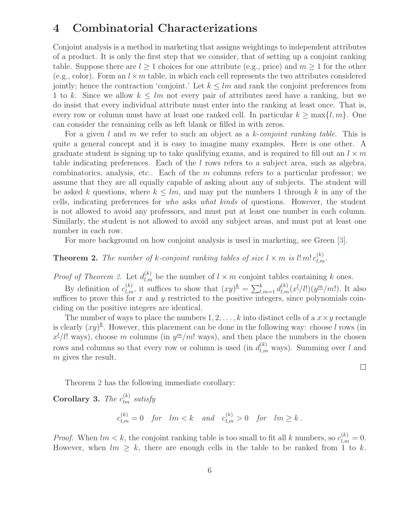### <span id="page-5-0"></span>4 Combinatorial Characterizations

Conjoint analysis is a method in marketing that assigns weightings to independent attributes of a product. It is only the first step that we consider, that of setting up a conjoint ranking table. Suppose there are  $l \geq 1$  choices for one attribute (e.g., price) and  $m \geq 1$  for the other (e.g., color). Form an  $l \times m$  table, in which each cell represents the two attributes considered jointly; hence the contraction 'conjoint.' Let  $k \leq lm$  and rank the conjoint preferences from 1 to k. Since we allow  $k \leq lm$  not every pair of attributes need have a ranking, but we do insist that every individual attribute must enter into the ranking at least once. That is, every row or column must have at least one ranked cell. In particular  $k \ge \max\{l, m\}$ . One can consider the remaining cells as left blank or filled in with zeros.

For a given l and m we refer to such an object as a k-conjoint ranking table. This is quite a general concept and it is easy to imagine many examples. Here is one other. A graduate student is signing up to take qualifying exams, and is required to fill out an  $l \times m$ table indicating preferences. Each of the l rows refers to a subject area, such as algebra, combinatorics, analysis, etc.. Each of the m columns refers to a particular professor; we assume that they are all equally capable of asking about any of subjects. The student will be asked k questions, where  $k \leq lm$ , and may put the numbers 1 through k in any of the cells, indicating preferences for who asks what kinds of questions. However, the student is not allowed to avoid any professors, and must put at least one number in each column. Similarly, the student is not allowed to avoid any subject areas, and must put at least one number in each row.

For more background on how conjoint analysis is used in marketing, see Green [\[3\]](#page-12-2).

<span id="page-5-1"></span>**Theorem 2.** The number of k-conjoint ranking tables of size  $l \times m$  is  $l! m! c_{l,m}^{(k)}$ .

*Proof of Theorem [2.](#page-5-1)* Let  $d_{l,m}^{(k)}$  be the number of  $l \times m$  conjoint tables containing k ones.

By definition of  $c_{l,m}^{(k)}$ , it suffices to show that  $(xy)^k = \sum_{l,m=1}^k d_{l,m}^{(k)}(x^l/l!)(y^m/m!)$ . It also suffices to prove this for  $x$  and  $y$  restricted to the positive integers, since polynomials coinciding on the positive integers are identical.

The number of ways to place the numbers  $1, 2, \ldots, k$  into distinct cells of a  $x \times y$  rectangle is clearly  $(xy)^{\underline{k}}$ . However, this placement can be done in the following way: choose l rows (in  $x^{l}/l!$  ways), choose m columns (in  $y^{m}/m!$  ways), and then place the numbers in the chosen rows and columns so that every row or column is used (in  $d_{l,m}^{(k)}$  ways). Summing over l and m gives the result.

Theorem [2](#page-5-1) has the following immediate corollary:

**Corollary 3.** The  $c_{lm}^{(k)}$  satisfy

$$
c_{l,m}^{(k)} = 0 \quad \text{for} \quad lm < k \quad \text{and} \quad c_{l,m}^{(k)} > 0 \quad \text{for} \quad lm \ge k \, .
$$

*Proof.* When  $lm < k$ , the conjoint ranking table is too small to fit all k numbers, so  $c_{l,m}^{(k)} = 0$ . However, when  $lm \geq k$ , there are enough cells in the table to be ranked from 1 to k.

 $\Box$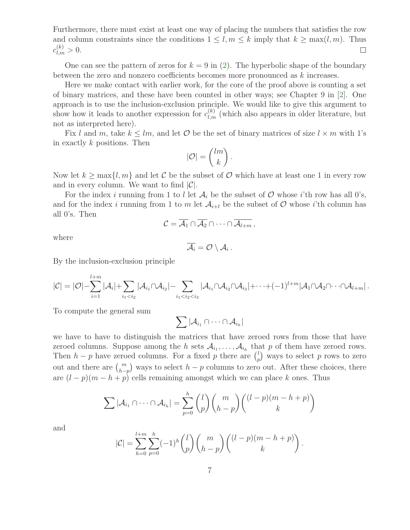Furthermore, there must exist at least one way of placing the numbers that satisfies the row and column constraints since the conditions  $1 \leq l, m \leq k$  imply that  $k \geq \max(l, m)$ . Thus  $c_{l,m}^{(k)} > 0.$  $\Box$ 

One can see the pattern of zeros for  $k = 9$  in [\(2\)](#page-1-2). The hyperbolic shape of the boundary between the zero and nonzero coefficients becomes more pronounced as k increases.

Here we make contact with earlier work, for the core of the proof above is counting a set of binary matrices, and these have been counted in other ways; see Chapter 9 in [\[2\]](#page-12-3). One approach is to use the inclusion-exclusion principle. We would like to give this argument to show how it leads to another expression for  $c_{l,m}^{(k)}$  (which also appears in older literature, but not as interpreted here).

Fix l and m, take  $k \leq lm$ , and let O be the set of binary matrices of size  $l \times m$  with 1's in exactly k positions. Then

$$
|\mathcal{O}| = \binom{lm}{k}.
$$

Now let  $k \ge \max\{l, m\}$  and let C be the subset of O which have at least one 1 in every row and in every column. We want to find  $|\mathcal{C}|$ .

For the index i running from 1 to l let  $A_i$  be the subset of  $O$  whose i'th row has all 0's, and for the index i running from 1 to m let  $A_{i+l}$  be the subset of  $O$  whose i'th column has all 0's. Then

$$
\mathcal{C}=\overline{\mathcal{A}_1}\cap\overline{\mathcal{A}_2}\cap\cdots\cap\overline{\mathcal{A}_{l+m}},
$$

where

$$
\overline{\mathcal{A}_i}=\mathcal{O}\setminus\mathcal{A}_i\,.
$$

By the inclusion-exclusion principle

$$
|\mathcal{C}|=|\mathcal{O}|- \sum_{i=1}^{l+m} |\mathcal{A}_i| + \sum_{i_1
$$

To compute the general sum

$$
\sum |\mathcal{A}_{i_1} \cap \cdots \cap \mathcal{A}_{i_h}|
$$

we have to have to distinguish the matrices that have zeroed rows from those that have zeroed columns. Suppose among the h sets  $A_{i_1}, \ldots, A_{i_h}$  that p of them have zeroed rows. Then  $h - p$  have zeroed columns. For a fixed p there are  $\binom{l}{r}$  $_p^l$ ) ways to select p rows to zero out and there are  $\binom{m}{h-p}$  ways to select  $h-p$  columns to zero out. After these choices, there are  $(l - p)(m - h + p)$  cells remaining amongst which we can place k ones. Thus

$$
\sum |\mathcal{A}_{i_1} \cap \cdots \cap \mathcal{A}_{i_h}| = \sum_{p=0}^h {l \choose p} {m \choose h-p} {l-p(m-h+p) \choose k}
$$

and

$$
|\mathcal{C}| = \sum_{h=0}^{l+m} \sum_{p=0}^{h} (-1)^h {l \choose p} {m \choose h-p} {(l-p)(m-h+p) \choose k}.
$$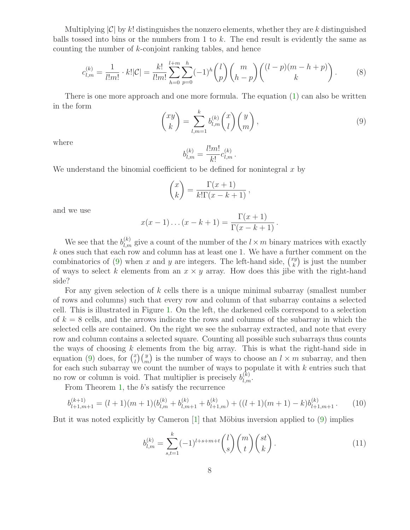Multiplying  $|\mathcal{C}|$  by k! distinguishes the nonzero elements, whether they are k distinguished balls tossed into bins or the numbers from 1 to  $k$ . The end result is evidently the same as counting the number of k-conjoint ranking tables, and hence

$$
c_{l,m}^{(k)} = \frac{1}{l!m!} \cdot k!|\mathcal{C}| = \frac{k!}{l!m!} \sum_{h=0}^{l+m} \sum_{p=0}^{h} (-1)^h \binom{l}{p} \binom{m}{h-p} \binom{(l-p)(m-h+p)}{k}.
$$
 (8)

<span id="page-7-0"></span>There is one more approach and one more formula. The equation  $(1)$  can also be written in the form

<span id="page-7-2"></span>
$$
\begin{pmatrix} xy \\ k \end{pmatrix} = \sum_{l,m=1}^{k} b_{l,m}^{(k)} \binom{x}{l} \binom{y}{m},\tag{9}
$$

where

$$
b_{l,m}^{(k)} = \frac{l!m!}{k!}c_{l,m}^{(k)}.
$$

We understand the binomial coefficient to be defined for nonintegral  $x$  by

$$
\binom{x}{k} = \frac{\Gamma(x+1)}{k!\Gamma(x-k+1)},
$$

and we use

$$
x(x-1)...(x-k+1) = \frac{\Gamma(x+1)}{\Gamma(x-k+1)}
$$
.

We see that the  $b_{l,m}^{(k)}$  give a count of the number of the  $l \times m$  binary matrices with exactly  $k$  ones such that each row and column has at least one 1. We have a further comment on the combinatorics of [\(9\)](#page-7-0) when x and y are integers. The left-hand side,  $\binom{xy}{k}$  $\binom{xy}{k}$  is just the number of ways to select k elements from an  $x \times y$  array. How does this jibe with the right-hand side?

For any given selection of  $k$  cells there is a unique minimal subarray (smallest number of rows and columns) such that every row and column of that subarray contains a selected cell. This is illustrated in Figure [1.](#page-8-0) On the left, the darkened cells correspond to a selection of  $k = 8$  cells, and the arrows indicate the rows and columns of the subarray in which the selected cells are contained. On the right we see the subarray extracted, and note that every row and column contains a selected square. Counting all possible such subarrays thus counts the ways of choosing  $k$  elements from the big array. This is what the right-hand side in equation [\(9\)](#page-7-0) does, for  $\binom{x}{l}$  $\binom{x}{l}\binom{y}{m}$  is the number of ways to choose an  $l \times m$  subarray, and then for each such subarray we count the number of ways to populate it with  $k$  entries such that no row or column is void. That multiplier is precisely  $b_{l,m}^{(k)}$ .

From Theorem [1,](#page-4-0) the b's satisfy the recurrence

$$
b_{l+1,m+1}^{(k+1)} = (l+1)(m+1)(b_{l,m}^{(k)} + b_{l,m+1}^{(k)} + b_{l+1,m}^{(k)}) + ((l+1)(m+1) - k)b_{l+1,m+1}^{(k)}.
$$
 (10)

But it was noted explicitly by Cameron  $[1]$  that Möbius inversion applied to  $(9)$  implies

<span id="page-7-1"></span>
$$
b_{l,m}^{(k)} = \sum_{s,t=1}^{k} (-1)^{l+s+m+t} \binom{l}{s} \binom{m}{t} \binom{st}{k} . \tag{11}
$$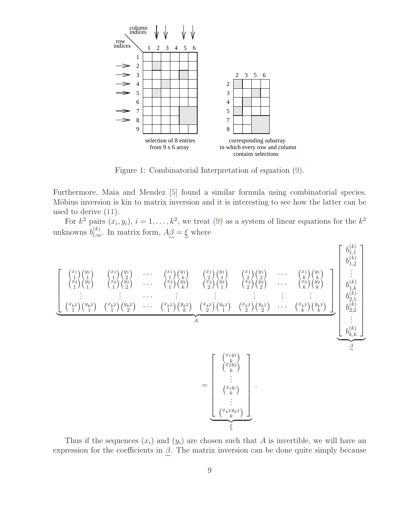

<span id="page-8-0"></span>Figure 1: Combinatorial Interpretation of equation [\(9\)](#page-7-0).

Furthermore, Maia and Mendez [\[5\]](#page-12-5) found a similar formula using combinatorial species. Möbius inversion is kin to matrix inversion and it is interesting to see how the latter can be used to derive [\(11\)](#page-7-1).

For  $k^2$  pairs  $(x_i, y_i)$ ,  $i = 1, \ldots, k^2$ , we treat [\(9\)](#page-7-0) as a system of linear equations for the  $k^2$ unknowns  $b_{l,m}^{(k)}$ . In matrix form,  $A\underline{\beta} = \underline{\xi}$  where



Thus if the sequences  $(x_i)$  and  $(y_i)$  are chosen such that A is invertible, we will have an expression for the coefficients in  $\beta$ . The matrix inversion can be done quite simply because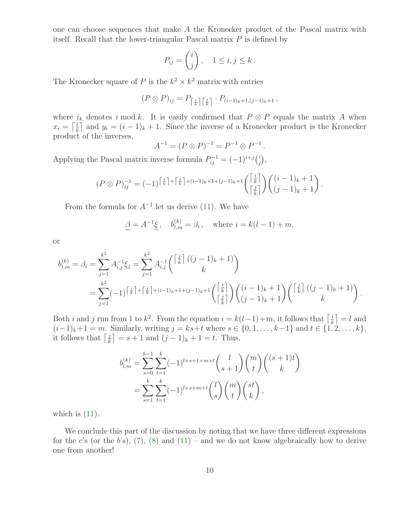one can choose sequences that make A the Kronecker product of the Pascal matrix with itself. Recall that the lower-triangular Pascal matrix P is defined by

$$
P_{ij} = \begin{pmatrix} i \\ j \end{pmatrix}, \quad 1 \le i, j \le k \, .
$$

The Kronecker square of P is the  $k^2 \times k^2$  matrix with entries

$$
(P \otimes P)_{ij} = P_{\left\lceil \frac{i}{k} \right\rceil \left\lceil \frac{j}{k} \right\rceil} \cdot P_{(i-1)_k + 1, (j-1)_k + 1} ,
$$

where  $i_k$  denotes i mod k. It is easily confirmed that  $P \otimes P$  equals the matrix A when  $x_i = \left\lceil \frac{i}{k} \right\rceil$  $\frac{i}{k}$  and  $y_i = (i-1)_k + 1$ . Since the inverse of a Kronecker product is the Kronecker product of the inverses,

$$
A^{-1} = (P \otimes P)^{-1} = P^{-1} \otimes P^{-1}
$$

.

Applying the Pascal matrix inverse formula  $P_{ij}^{-1} = (-1)^{i+j} {i \choose j}$  $_{j}^{i}),$ 

$$
(P \otimes P)^{-1}_{ij} = (-1)^{\left\lceil \frac{i}{k}\right\rceil + \left\lceil \frac{j}{k}\right\rceil + (i-1)_k + 1 + (j-1)_k + 1} \left(\begin{bmatrix} \frac{i}{k} \\ \frac{j}{k} \end{bmatrix}\right) \left(\begin{array}{c} (i-1)_k + 1 \\ (j-1)_k + 1 \end{array}\right).
$$

From the formula for  $A^{-1}$  let us derive [\(11\)](#page-7-1). We have

$$
\underline{\beta} = A^{-1} \underline{\xi} , \quad b_{l,m}^{(k)} = \beta_i , \quad \text{where } i = k(l-1) + m,
$$

or

$$
b_{l,m}^{(k)} = \beta_i = \sum_{j=1}^{k^2} A_{i,j}^{-1} \xi_j = \sum_{j=1}^{k^2} A_{i,j}^{-1} \begin{pmatrix} \left[ \frac{j}{k} \right] ((j-1)_k + 1) \\ k \end{pmatrix}
$$
  
= 
$$
\sum_{j=1}^{k^2} (-1)^{\left\lceil \frac{i}{k} \right\rceil + \left\lceil \frac{j}{k} \right\rceil + (i-1)_k + 1 + (j-1)_k + 1} \begin{pmatrix} \left[ \frac{j}{k} \right] \\ \left[ \frac{j}{k} \right] \end{pmatrix} \begin{pmatrix} (i-1)_k + 1) \\ (j-1)_k + 1 \end{pmatrix} \begin{pmatrix} \left[ \frac{j}{k} \right] ((j-1)_k + 1) \\ k \end{pmatrix}.
$$

Both *i* and *j* run from 1 to  $k^2$ . From the equation  $i = k(l-1) + m$ , it follows that  $\lceil \frac{i}{k} \rceil$  $\left[\frac{i}{k}\right] = l$  and  $(i-1)_k+1 = m$ . Similarly, writing  $j = ks+t$  where  $s \in \{0, 1, ..., k-1\}$  and  $t \in \{1, 2, ..., k\}$ , it follows that  $\left[\frac{j}{k}\right]$  $\left[\frac{j}{k}\right] = s + 1$  and  $(j - 1)_k + 1 = t$ . Thus,

$$
b_{l,m}^{(k)} = \sum_{s=0}^{k-1} \sum_{t=1}^{k} (-1)^{l+s+1+m+t} {l \choose s+1} {m \choose t} {s+1}^{k}
$$

$$
= \sum_{s=1}^{k} \sum_{t=1}^{k} (-1)^{l+s+m+t} {l \choose s} {m \choose t} {st \choose k},
$$

which is  $(11)$ .

We conclude this part of the discussion by noting that we have three different expressions for the c's (or the b's), [\(7\)](#page-2-2), [\(8\)](#page-7-2) and [\(11\)](#page-7-1) – and we do not know algebraically how to derive one from another!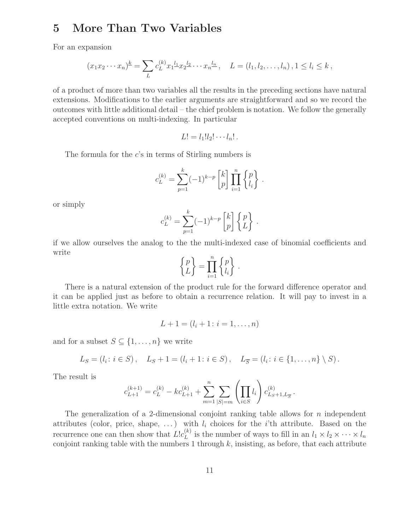# 5 More Than Two Variables

For an expansion

$$
(x_1x_2\cdots x_n)^k = \sum_L c_L^{(k)} x_1^{\underline{l}_1} x_2^{\underline{l}_2} \cdots x_n^{\underline{l}_n}, \quad L = (l_1, l_2, \ldots, l_n), 1 \leq l_i \leq k,
$$

of a product of more than two variables all the results in the preceding sections have natural extensions. Modifications to the earlier arguments are straightforward and so we record the outcomes with little additional detail – the chief problem is notation. We follow the generally accepted conventions on multi-indexing. In particular

$$
L! = l_1!l_2! \cdots l_n! \, .
$$

The formula for the  $c$ 's in terms of Stirling numbers is

$$
c_L^{(k)} = \sum_{p=1}^k (-1)^{k-p} \begin{bmatrix} k \\ p \end{bmatrix} \prod_{i=1}^n \begin{Bmatrix} p \\ l_i \end{Bmatrix}.
$$

or simply

$$
c_L^{(k)} = \sum_{p=1}^k (-1)^{k-p} \begin{bmatrix} k \\ p \end{bmatrix} \begin{Bmatrix} p \\ L \end{Bmatrix}.
$$

if we allow ourselves the analog to the the multi-indexed case of binomial coefficients and write

$$
\begin{Bmatrix} p \\ L \end{Bmatrix} = \prod_{i=1}^n \begin{Bmatrix} p \\ l_i \end{Bmatrix}.
$$

There is a natural extension of the product rule for the forward difference operator and it can be applied just as before to obtain a recurrence relation. It will pay to invest in a little extra notation. We write

$$
L + 1 = (l_i + 1 : i = 1, \dots, n)
$$

and for a subset  $S \subseteq \{1, \ldots, n\}$  we write

$$
L_S = (l_i : i \in S), \quad L_S + 1 = (l_i + 1 : i \in S), \quad L_{\overline{S}} = (l_i : i \in \{1, ..., n\} \setminus S).
$$

The result is

$$
c_{L+1}^{(k+1)} = c_L^{(k)} - kc_{L+1}^{(k)} + \sum_{m=1}^n \sum_{|S|=m} \left( \prod_{i \in S} l_i \right) c_{L_S+1, L_S}^{(k)}.
$$

The generalization of a 2-dimensional conjoint ranking table allows for  $n$  independent attributes (color, price, shape, ...) with  $l_i$  choices for the *i*'th attribute. Based on the recurrence one can then show that  $Llc_L^{(k)}$  $L_L^{(k)}$  is the number of ways to fill in an  $l_1 \times l_2 \times \cdots \times l_n$ conjoint ranking table with the numbers 1 through  $k$ , insisting, as before, that each attribute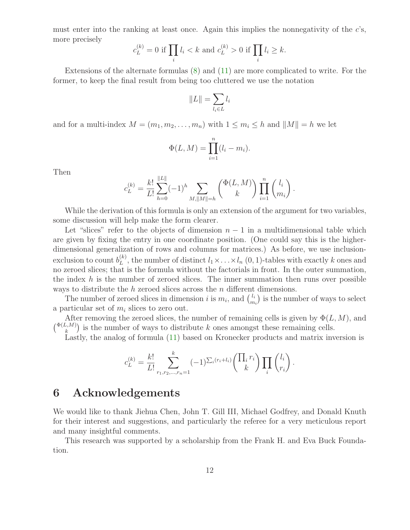must enter into the ranking at least once. Again this implies the nonnegativity of the  $c$ 's, more precisely

$$
c_L^{(k)} = 0
$$
 if 
$$
\prod_i l_i < k
$$
 and 
$$
c_L^{(k)} > 0
$$
 if 
$$
\prod_i l_i \geq k.
$$

Extensions of the alternate formulas [\(8\)](#page-7-2) and [\(11\)](#page-7-1) are more complicated to write. For the former, to keep the final result from being too cluttered we use the notation

$$
||L|| = \sum_{l_i \in L} l_i
$$

and for a multi-index  $M = (m_1, m_2, \ldots, m_n)$  with  $1 \leq m_i \leq h$  and  $||M|| = h$  we let

$$
\Phi(L, M) = \prod_{i=1}^{n} (l_i - m_i).
$$

Then

$$
c_L^{(k)} = \frac{k!}{L!} \sum_{h=0}^{\|L\|} (-1)^h \sum_{M, \|M\|=h} \binom{\Phi(L, M)}{k} \prod_{i=1}^n \binom{l_i}{m_i}.
$$

While the derivation of this formula is only an extension of the argument for two variables, some discussion will help make the form clearer.

Let "slices" refer to the objects of dimension  $n-1$  in a multidimensional table which are given by fixing the entry in one coordinate position. (One could say this is the higherdimensional generalization of rows and columns for matrices.) As before, we use inclusionexclusion to count  $b_L^{(k)}$  $L_L^{(k)}$ , the number of distinct  $l_1 \times \ldots \times l_n$  (0, 1)-tables with exactly k ones and no zeroed slices; that is the formula without the factorials in front. In the outer summation, the index  $h$  is the number of zeroed slices. The inner summation then runs over possible ways to distribute the  $h$  zeroed slices across the  $n$  different dimensions.

The number of zeroed slices in dimension i is  $m_i$ , and  $\binom{l_i}{m}$  $\binom{l_i}{m_i}$  is the number of ways to select a particular set of  $m_i$  slices to zero out.

After removing the zeroed slices, the number of remaining cells is given by  $\Phi(L, M)$ , and  $\binom{\Phi(L,M)}{k}$  is the number of ways to distribute k ones amongst these remaining cells.

Lastly, the analog of formula [\(11\)](#page-7-1) based on Kronecker products and matrix inversion is

$$
c_L^{(k)} = \frac{k!}{L!} \sum_{r_1, r_2, \dots, r_n=1}^k (-1)^{\sum_i (r_i + l_i)} \left( \prod_i r_i \right) \prod_i \binom{l_i}{r_i}.
$$

#### 6 Acknowledgements

We would like to thank Jiehua Chen, John T. Gill III, Michael Godfrey, and Donald Knuth for their interest and suggestions, and particularly the referee for a very meticulous report and many insightful comments.

This research was supported by a scholarship from the Frank H. and Eva Buck Foundation.